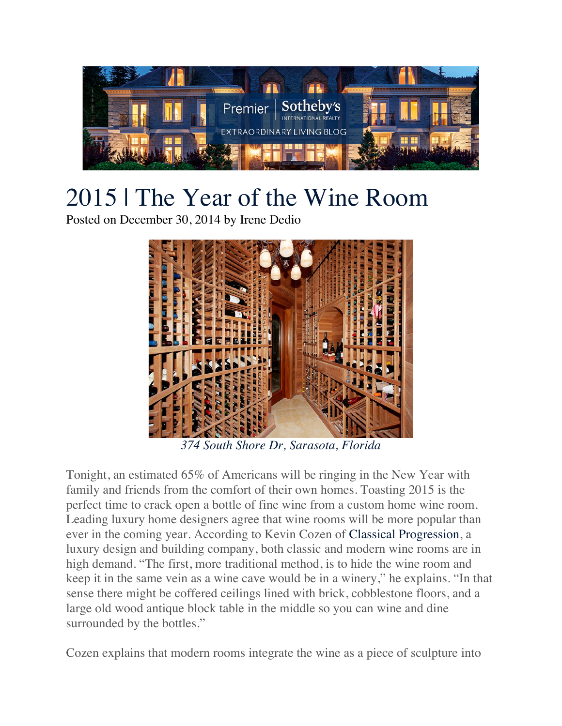

## 2015 | The Year of the Wine Room

Posted on December 30, 2014 by Irene Dedio



*374 South Shore Dr, Sarasota, Florida*

Tonight, an estimated 65% of Americans will be ringing in the New Year with family and friends from the comfort of their own homes. Toasting 2015 is the perfect time to crack open a bottle of fine wine from a custom home wine room. Leading luxury home designers agree that wine rooms will be more popular than ever in the coming year. According to Kevin Cozen of Classical Progression, a luxury design and building company, both classic and modern wine rooms are in high demand. "The first, more traditional method, is to hide the wine room and keep it in the same vein as a wine cave would be in a winery," he explains. "In that sense there might be coffered ceilings lined with brick, cobblestone floors, and a large old wood antique block table in the middle so you can wine and dine surrounded by the bottles."

Cozen explains that modern rooms integrate the wine as a piece of sculpture into